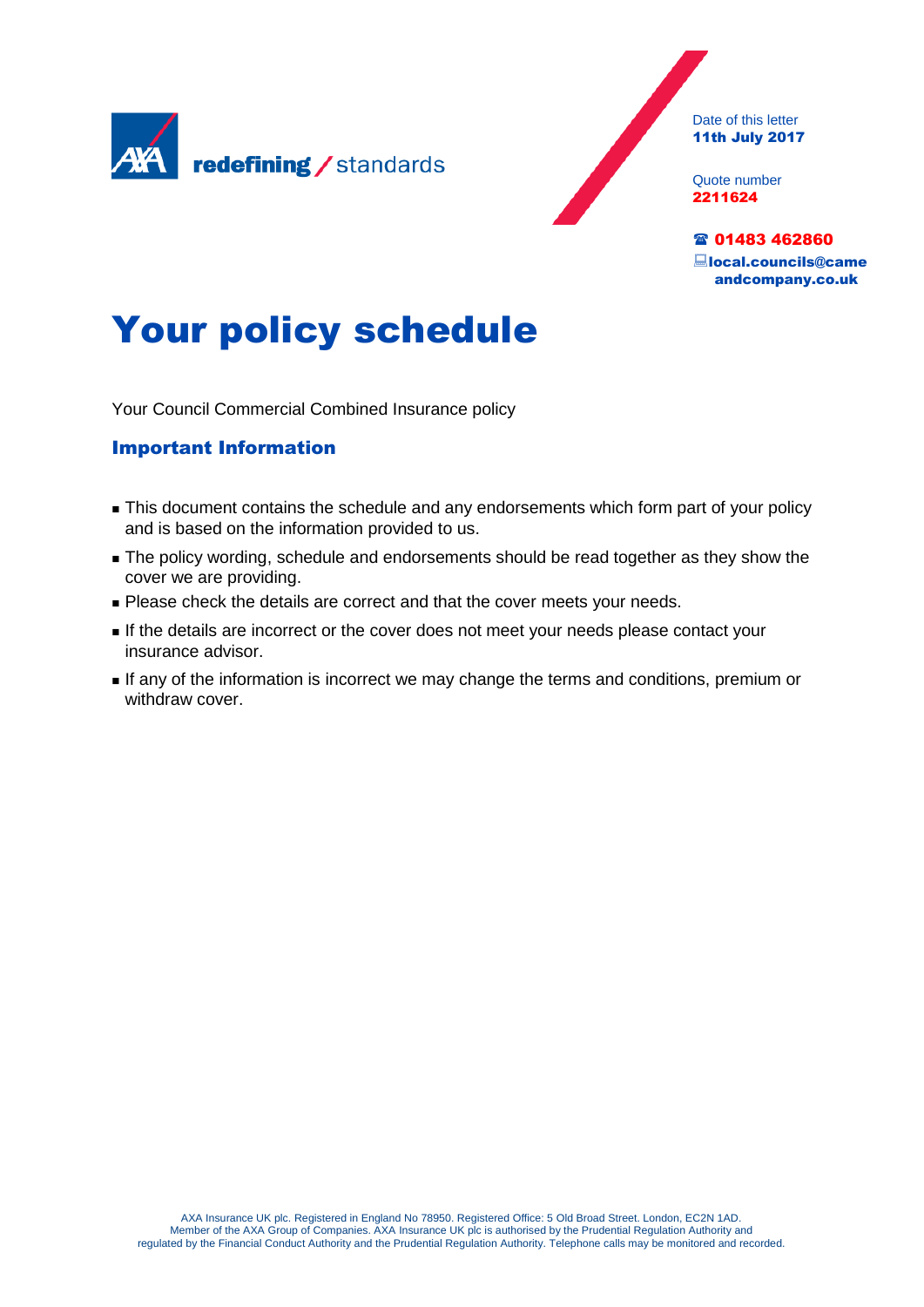

Date of this letter 11th July 2017

Quote number 2211624

雷 01483 462860 local.councils@came andcompany.co.uk

# Your policy schedule

Your Council Commercial Combined Insurance policy

# Important Information

- **This document contains the schedule and any endorsements which form part of your policy** and is based on the information provided to us.
- **The policy wording, schedule and endorsements should be read together as they show the** cover we are providing.
- **Please check the details are correct and that the cover meets your needs.**
- If the details are incorrect or the cover does not meet your needs please contact your insurance advisor.
- If any of the information is incorrect we may change the terms and conditions, premium or withdraw cover.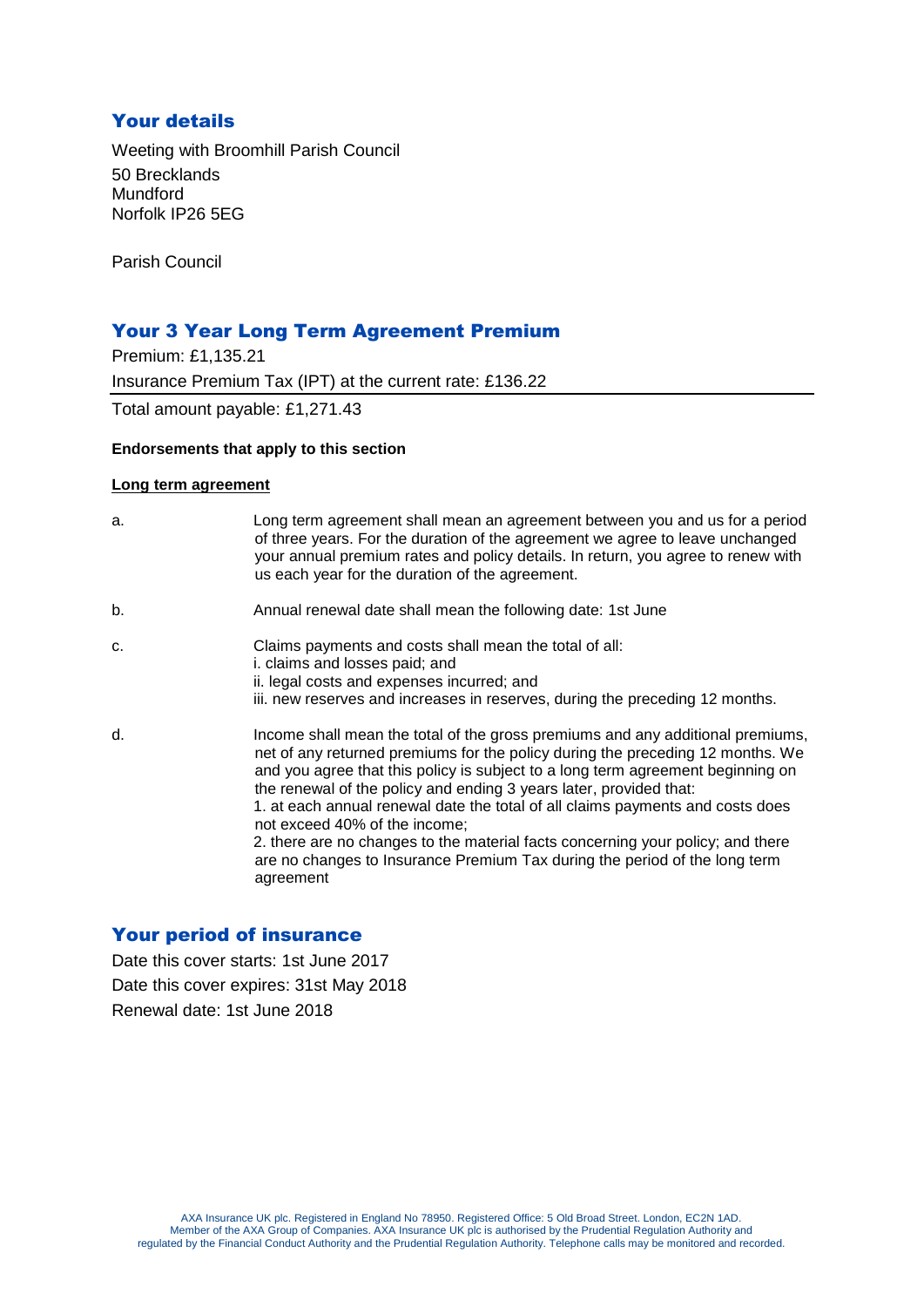# Your details

Weeting with Broomhill Parish Council 50 Brecklands Mundford Norfolk IP26 5EG

Parish Council

# Your 3 Year Long Term Agreement Premium

Premium: £1,135.21 Insurance Premium Tax (IPT) at the current rate: £136.22 Total amount payable: £1,271.43

#### **Endorsements that apply to this section**

#### **Long term agreement**

| a. | Long term agreement shall mean an agreement between you and us for a period<br>of three years. For the duration of the agreement we agree to leave unchanged<br>your annual premium rates and policy details. In return, you agree to renew with<br>us each year for the duration of the agreement.                                                                                                                                                                                                                                                                                                                        |
|----|----------------------------------------------------------------------------------------------------------------------------------------------------------------------------------------------------------------------------------------------------------------------------------------------------------------------------------------------------------------------------------------------------------------------------------------------------------------------------------------------------------------------------------------------------------------------------------------------------------------------------|
| b. | Annual renewal date shall mean the following date: 1st June                                                                                                                                                                                                                                                                                                                                                                                                                                                                                                                                                                |
| C. | Claims payments and costs shall mean the total of all:<br>i. claims and losses paid; and<br>ii. legal costs and expenses incurred; and<br>iii. new reserves and increases in reserves, during the preceding 12 months.                                                                                                                                                                                                                                                                                                                                                                                                     |
| d. | Income shall mean the total of the gross premiums and any additional premiums,<br>net of any returned premiums for the policy during the preceding 12 months. We<br>and you agree that this policy is subject to a long term agreement beginning on<br>the renewal of the policy and ending 3 years later, provided that:<br>1. at each annual renewal date the total of all claims payments and costs does<br>not exceed 40% of the income;<br>2. there are no changes to the material facts concerning your policy; and there<br>are no changes to Insurance Premium Tax during the period of the long term<br>agreement |

# Your period of insurance

Date this cover starts: 1st June 2017 Date this cover expires: 31st May 2018 Renewal date: 1st June 2018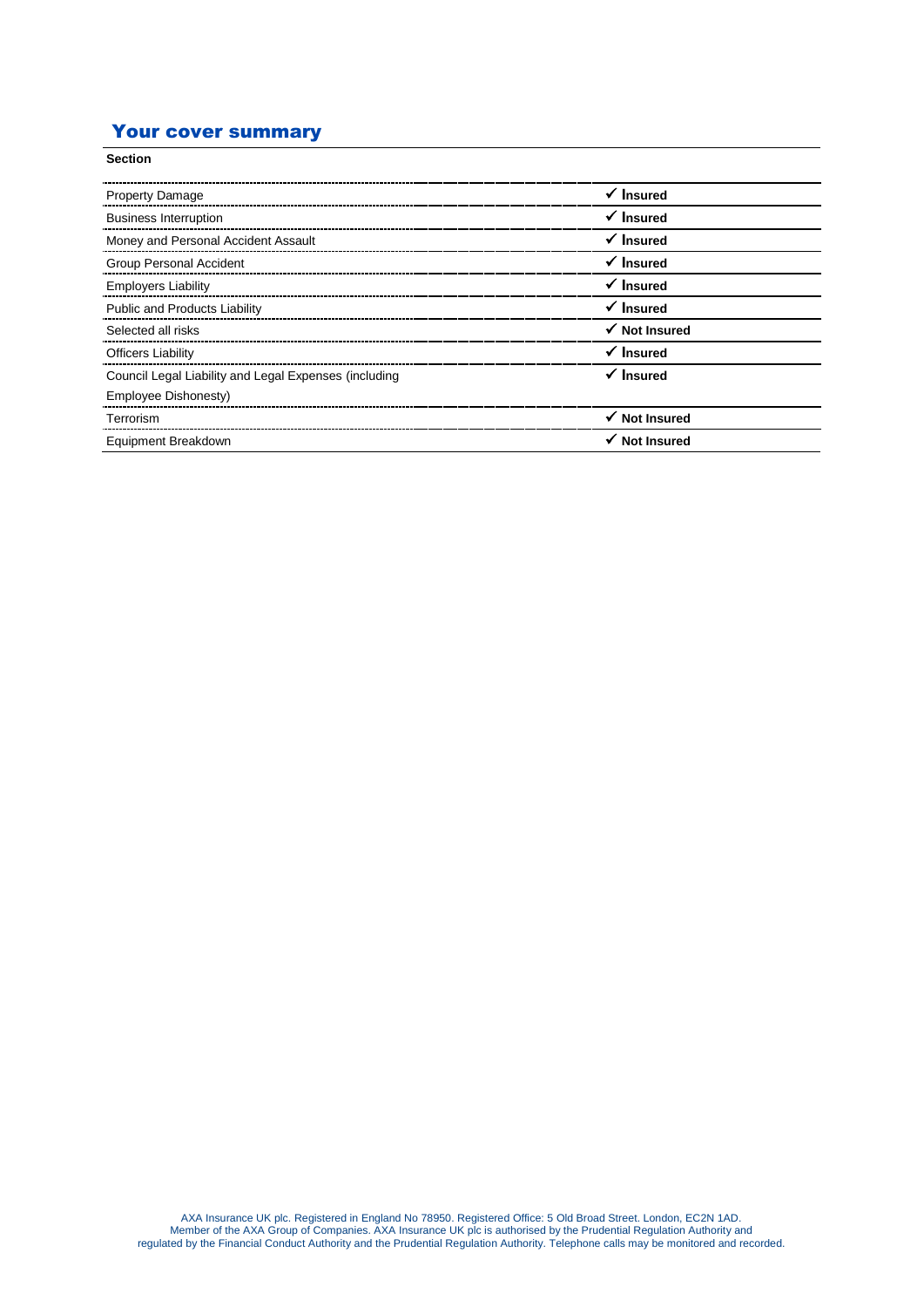# Your cover summary

| <b>Section</b>                                        |                      |
|-------------------------------------------------------|----------------------|
| <b>Property Damage</b>                                | $\checkmark$ Insured |
| <b>Business Interruption</b>                          | $\checkmark$ Insured |
| Money and Personal Accident Assault                   | $\checkmark$ Insured |
| <b>Group Personal Accident</b>                        | $\checkmark$ Insured |
| <b>Employers Liability</b>                            | $\checkmark$ Insured |
| <b>Public and Products Liability</b>                  | $\checkmark$ Insured |
| Selected all risks                                    | √ Not Insured        |
| <b>Officers Liability</b>                             | $\checkmark$ Insured |
| Council Legal Liability and Legal Expenses (including | $\checkmark$ Insured |
| Employee Dishonesty)                                  |                      |
| Terrorism                                             | √ Not Insured        |
| Equipment Breakdown                                   | <b>Not Insured</b>   |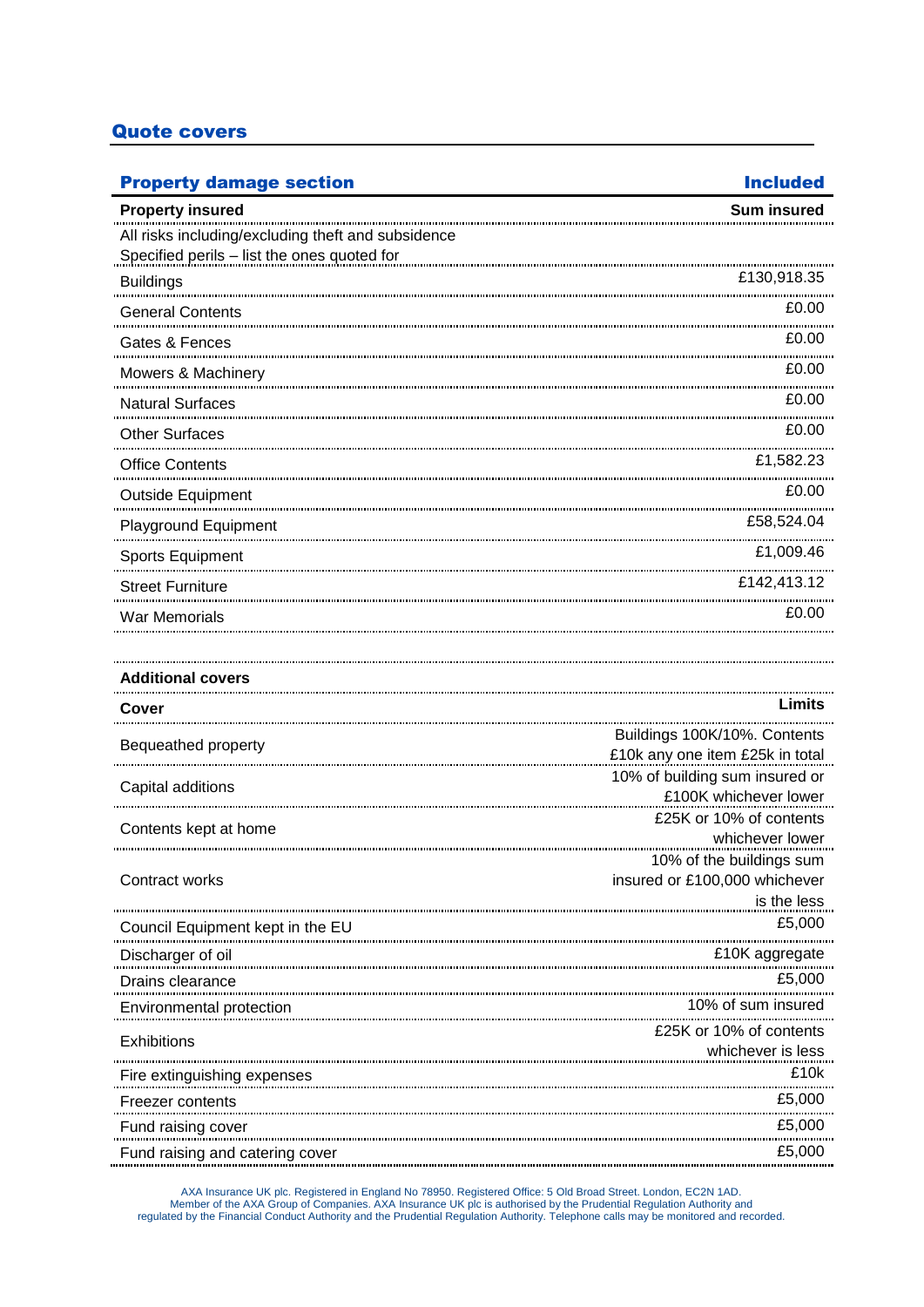## Quote covers

| <b>Property damage section</b>                                                                                                                                                                                                   | <b>Included</b>                                                   |
|----------------------------------------------------------------------------------------------------------------------------------------------------------------------------------------------------------------------------------|-------------------------------------------------------------------|
| <b>Property insured</b>                                                                                                                                                                                                          | <b>Sum insured</b>                                                |
| All risks including/excluding theft and subsidence                                                                                                                                                                               |                                                                   |
| Specified perils - list the ones quoted for                                                                                                                                                                                      |                                                                   |
| <b>Buildings</b>                                                                                                                                                                                                                 | £130,918.35                                                       |
| <b>General Contents</b>                                                                                                                                                                                                          | £0.00                                                             |
| Gates & Fences                                                                                                                                                                                                                   | £0.00                                                             |
| Mowers & Machinery                                                                                                                                                                                                               | £0.00                                                             |
| <b>Natural Surfaces</b>                                                                                                                                                                                                          | £0.00                                                             |
| <b>Other Surfaces</b>                                                                                                                                                                                                            | £0.00                                                             |
| <b>Office Contents</b>                                                                                                                                                                                                           | £1,582.23                                                         |
| <b>Outside Equipment</b>                                                                                                                                                                                                         | £0.00                                                             |
| Playground Equipment                                                                                                                                                                                                             | £58,524.04                                                        |
| Sports Equipment                                                                                                                                                                                                                 | £1,009.46                                                         |
| <b>Street Furniture</b>                                                                                                                                                                                                          | £142,413.12                                                       |
| War Memorials                                                                                                                                                                                                                    | £0.00                                                             |
|                                                                                                                                                                                                                                  |                                                                   |
| <b>Additional covers</b>                                                                                                                                                                                                         |                                                                   |
| Cover                                                                                                                                                                                                                            | Limits                                                            |
| Bequeathed property                                                                                                                                                                                                              | Buildings 100K/10%. Contents                                      |
|                                                                                                                                                                                                                                  | £10k any one item £25k in total<br>10% of building sum insured or |
| Capital additions                                                                                                                                                                                                                | £100K whichever lower                                             |
| Contents kept at home                                                                                                                                                                                                            | £25K or 10% of contents                                           |
|                                                                                                                                                                                                                                  | whichever lower                                                   |
| Contract works                                                                                                                                                                                                                   | 10% of the buildings sum<br>insured or £100,000 whichever         |
|                                                                                                                                                                                                                                  | is the less                                                       |
| Council Equipment kept in the EU                                                                                                                                                                                                 | £5,000                                                            |
| Discharger of oil                                                                                                                                                                                                                | £10K aggregate                                                    |
| Drains clearance                                                                                                                                                                                                                 | £5,000                                                            |
| Environmental protection                                                                                                                                                                                                         | 10% of sum insured                                                |
| Exhibitions                                                                                                                                                                                                                      | £25K or 10% of contents                                           |
|                                                                                                                                                                                                                                  | whichever is less                                                 |
|                                                                                                                                                                                                                                  | £10k                                                              |
| Freezer contents                                                                                                                                                                                                                 | £5,000                                                            |
| Fund raising cover                                                                                                                                                                                                               | £5,000                                                            |
| Fund raising and catering cover هيرين مستقرر المستقرر المستقرر المستقرر المستقرر المستقرر المستقرر المستقرر ال<br>المستقرر المستقرر المستقرر المستقرر المستقرر المستقرر المستقرر المستقرر المستقرر المستقرر المستقرر المستقرر ال | £5,000                                                            |

AXA Insurance UK plc. Registered in England No 78950. Registered Office: 5 Old Broad Street. London, EC2N 1AD. Member of the AXA Group of Companies. AXA Insurance UK plc is authorised by the Prudential Regulation Authority and<br>Inte Prudential Regulation Authority. Telephone calls may be monitored and recorded. Tregulated by the Fin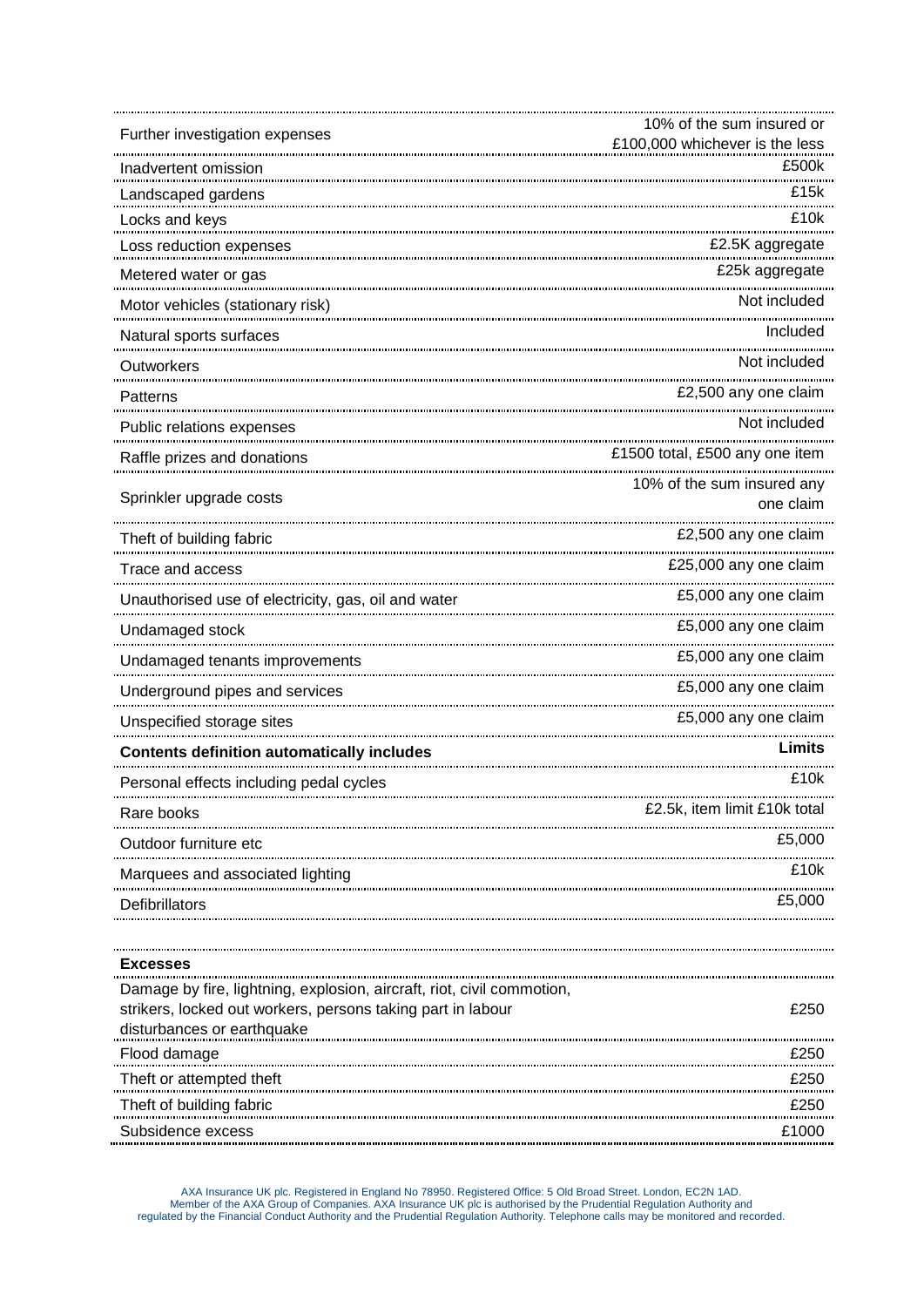| Further investigation expenses                                         | 10% of the sum insured or               |
|------------------------------------------------------------------------|-----------------------------------------|
|                                                                        | £100,000 whichever is the less          |
| Inadvertent omission                                                   | £500k                                   |
| Landscaped gardens                                                     | £15k                                    |
| Locks and keys                                                         | £10k                                    |
| Loss reduction expenses                                                | £2.5K aggregate                         |
| Metered water or gas                                                   | £25k aggregate<br>                      |
| Motor vehicles (stationary risk)                                       | Not included                            |
| Natural sports surfaces                                                | Included                                |
| Outworkers                                                             | Not included                            |
| Patterns                                                               | £2,500 any one claim                    |
| Public relations expenses                                              | Not included                            |
| Raffle prizes and donations                                            | £1500 total, £500 any one item          |
| Sprinkler upgrade costs                                                | 10% of the sum insured any<br>one claim |
| Theft of building fabric                                               | £2,500 any one claim                    |
| Trace and access                                                       | £25,000 any one claim<br>               |
| Unauthorised use of electricity, gas, oil and water                    | £5,000 any one claim                    |
| Undamaged stock                                                        | £5,000 any one claim                    |
| Undamaged tenants improvements                                         | <br>£5,000 any one claim                |
| Underground pipes and services                                         | £5,000 any one claim                    |
| Unspecified storage sites                                              | £5,000 any one claim                    |
| <b>Contents definition automatically includes</b>                      | Limits                                  |
| Personal effects including pedal cycles                                | £10k                                    |
| Rare books                                                             | £2.5k, item limit £10k total            |
| Outdoor furniture etc                                                  | £5,000                                  |
| Marquees and associated lighting                                       | £10k                                    |
| Defibrillators                                                         | £5,000                                  |
|                                                                        |                                         |
| <b>Excesses</b>                                                        |                                         |
| Damage by fire, lightning, explosion, aircraft, riot, civil commotion, |                                         |
| strikers, locked out workers, persons taking part in labour            | £250                                    |
| disturbances or earthquake                                             |                                         |
| Flood damage                                                           | £250                                    |
| Theft or attempted theft                                               | £250                                    |
| Theft of building fabric                                               | £250                                    |
| Subsidence excess                                                      | £1000                                   |

AXA Insurance UK plc. Registered in England No 78950. Registered Office: 5 Old Broad Street. London, EC2N 1AD. Member of the AXA Group of Companies. AXA Insurance UK plc is authorised by the Prudential Regulation Authority and<br>regulated by the Financial Conduct Authority and the Prudential Regulation Authority. Telephone calls may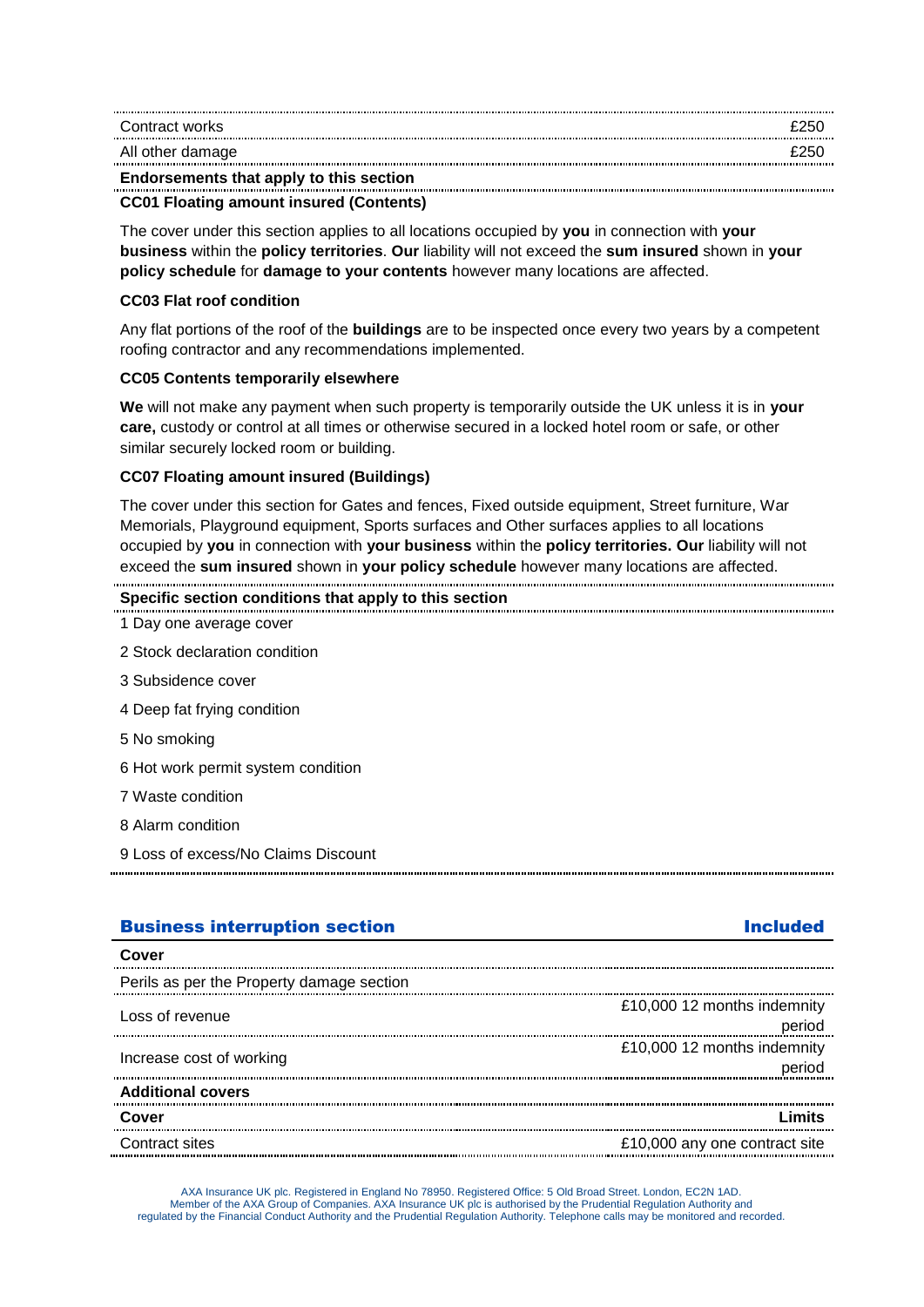| Contract works                          | £250 |
|-----------------------------------------|------|
| All other damage                        | £250 |
| Endorsements that apply to this section |      |

#### **CC01 Floating amount insured (Contents)**

The cover under this section applies to all locations occupied by **you** in connection with **your business** within the **policy territories**. **Our** liability will not exceed the **sum insured** shown in **your policy schedule** for **damage to your contents** however many locations are affected.

#### **CC03 Flat roof condition**

Any flat portions of the roof of the **buildings** are to be inspected once every two years by a competent roofing contractor and any recommendations implemented.

#### **CC05 Contents temporarily elsewhere**

**We** will not make any payment when such property is temporarily outside the UK unless it is in **your care,** custody or control at all times or otherwise secured in a locked hotel room or safe, or other similar securely locked room or building.

#### **CC07 Floating amount insured (Buildings)**

The cover under this section for Gates and fences, Fixed outside equipment, Street furniture, War Memorials, Playground equipment, Sports surfaces and Other surfaces applies to all locations occupied by **you** in connection with **your business** within the **policy territories. Our** liability will not exceed the **sum insured** shown in **your policy schedule** however many locations are affected.

| 9 Loss of excess/No Claims Discount |  |
|-------------------------------------|--|
| 8 Alarm condition                   |  |
| 7 Waste condition                   |  |
| 6 Hot work permit system condition  |  |
| 5 No smoking                        |  |
| 4 Deep fat frying condition         |  |
| 3 Subsidence cover                  |  |
| 2 Stock declaration condition       |  |
| 1 Day one average cover             |  |

| Perils as per the Property damage section |                                       |
|-------------------------------------------|---------------------------------------|
| Loss of revenue                           | £10,000 12 months indemnity<br>nerind |
| Increase cost of working                  | £10,000 12 months indemnity           |
| <b>Additional covers</b>                  |                                       |
| Cover                                     |                                       |
| Contract sites.                           | £10,000 any one contract site         |

AXA Insurance UK plc. Registered in England No 78950. Registered Office: 5 Old Broad Street. London, EC2N 1AD. Member of the AXA Group of Companies. AXA Insurance UK plc is authorised by the Prudential Regulation Authority and regulated by the Financial Conduct Authority and the Prudential Regulation Authority. Telephone calls may be monitored and recorded.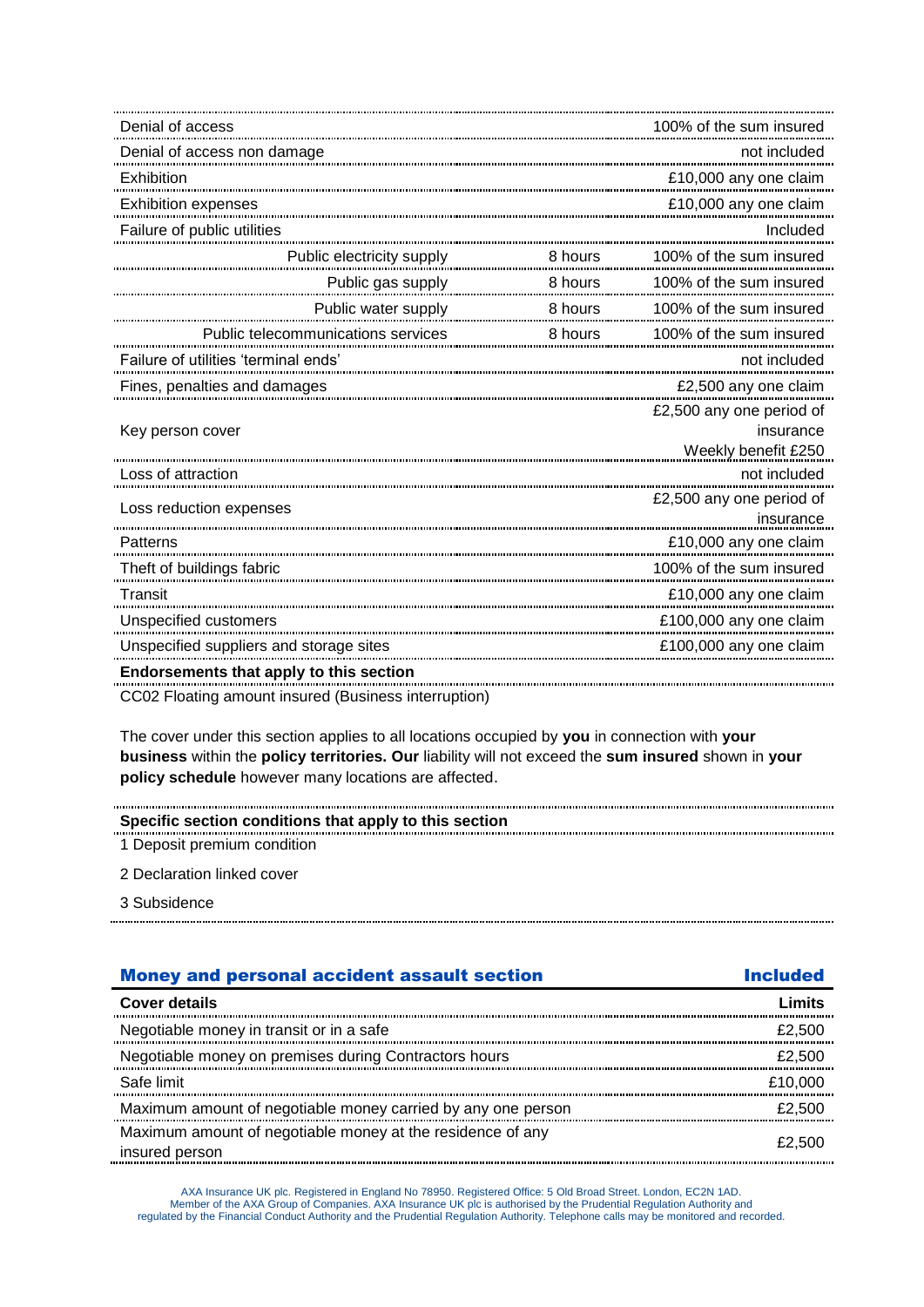| Denial of access                        |         | 100% of the sum insured               |
|-----------------------------------------|---------|---------------------------------------|
|                                         |         | not included                          |
| Exhibition                              |         | £10,000 any one claim                 |
| <b>Exhibition expenses</b>              |         | £10,000 any one claim                 |
| Failure of public utilities             |         | Included                              |
| Public electricity supply               | 8 hours | 100% of the sum insured               |
| Public gas supply                       |         |                                       |
|                                         |         |                                       |
| Public telecommunications services      | 8 hours | 100% of the sum insured               |
| Failure of utilities 'terminal ends'    |         | not included                          |
| Fines, penalties and damages            |         | £2,500 any one claim                  |
|                                         |         | £2,500 any one period of              |
| Key person cover                        |         | insurance                             |
|                                         |         | Weekly benefit £250<br>not included   |
| Loss of attraction                      |         |                                       |
| Loss reduction expenses                 |         | £2,500 any one period of<br>insurance |
| Patterns                                |         | £10,000 any one claim                 |
| Theft of buildings fabric               |         | 100% of the sum insured               |
| Transit                                 |         | £10,000 any one claim                 |
| Unspecified customers                   |         | £100,000 any one claim                |
| Unspecified suppliers and storage sites |         | £100,000 any one claim                |
| Endorsements that apply to this section |         |                                       |

CC02 Floating amount insured (Business interruption)

The cover under this section applies to all locations occupied by **you** in connection with **your business** within the **policy territories. Our** liability will not exceed the **sum insured** shown in **your policy schedule** however many locations are affected.

# **Specific section conditions that apply to this section**

1 Deposit premium condition

2 Declaration linked cover

3 Subsidence

| <b>Money and personal accident assault section</b>                           | <b>Included</b> |
|------------------------------------------------------------------------------|-----------------|
| <b>Cover details</b>                                                         | Limits          |
| Negotiable money in transit or in a safe                                     | £2,500          |
| Negotiable money on premises during Contractors hours                        | £2,500          |
| Safe limit                                                                   | £10,000         |
| Maximum amount of negotiable money carried by any one person                 | £2.500          |
| Maximum amount of negotiable money at the residence of any<br>insured person | £2.500          |

AXA Insurance UK plc. Registered in England No 78950. Registered Office: 5 Old Broad Street. London, EC2N 1AD. Member of the AXA Group of Companies. AXA Insurance UK plc is authorised by the Prudential Regulation Authority and<br>regulated by the Financial Conduct Authority and the Prudential Regulation Authority. Telephone calls may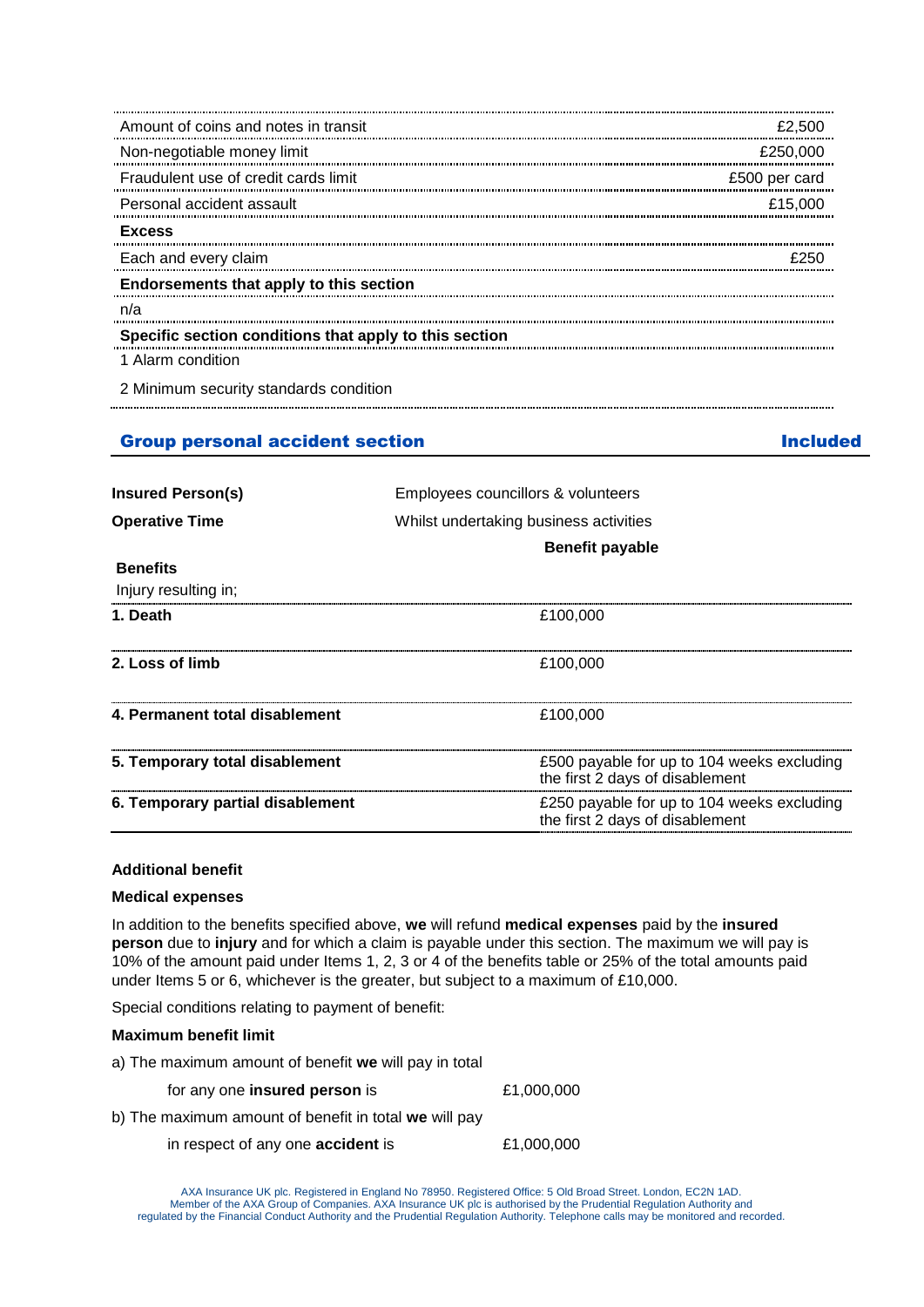| Amount of coins and notes in transit                   | £2,500        |
|--------------------------------------------------------|---------------|
| Non-negotiable money limit                             | £250,000      |
| Fraudulent use of credit cards limit                   | £500 per card |
| Personal accident assault                              | £15,000       |
| <b>Excess</b>                                          |               |
| Each and every claim                                   |               |
| Endorsements that apply to this section                |               |
| n/a                                                    |               |
| Specific section conditions that apply to this section |               |
| 1 Alarm condition                                      |               |
| 2 Minimum security standards condition                 |               |

### Group personal accident section **Included** Included

| <b>Insured Person(s)</b>         | Employees councillors & volunteers                                            |  |
|----------------------------------|-------------------------------------------------------------------------------|--|
| <b>Operative Time</b>            | Whilst undertaking business activities                                        |  |
|                                  | <b>Benefit payable</b>                                                        |  |
| <b>Benefits</b>                  |                                                                               |  |
| Injury resulting in;             |                                                                               |  |
| 1. Death                         | £100.000                                                                      |  |
| 2. Loss of limb                  | £100,000                                                                      |  |
| 4. Permanent total disablement   | £100,000                                                                      |  |
| 5. Temporary total disablement   | £500 payable for up to 104 weeks excluding<br>the first 2 days of disablement |  |
| 6. Temporary partial disablement | £250 payable for up to 104 weeks excluding<br>the first 2 days of disablement |  |
|                                  |                                                                               |  |

#### **Additional benefit**

#### **Medical expenses**

In addition to the benefits specified above, **we** will refund **medical expenses** paid by the **insured person** due to **injury** and for which a claim is payable under this section. The maximum we will pay is 10% of the amount paid under Items 1, 2, 3 or 4 of the benefits table or 25% of the total amounts paid under Items 5 or 6, whichever is the greater, but subject to a maximum of £10,000.

Special conditions relating to payment of benefit:

#### **Maximum benefit limit**

a) The maximum amount of benefit **we** will pay in total

| for any one <b>insured person</b> is | £1,000,000 |
|--------------------------------------|------------|
|--------------------------------------|------------|

- b) The maximum amount of benefit in total **we** will pay
	- in respect of any one **accident** is £1,000,000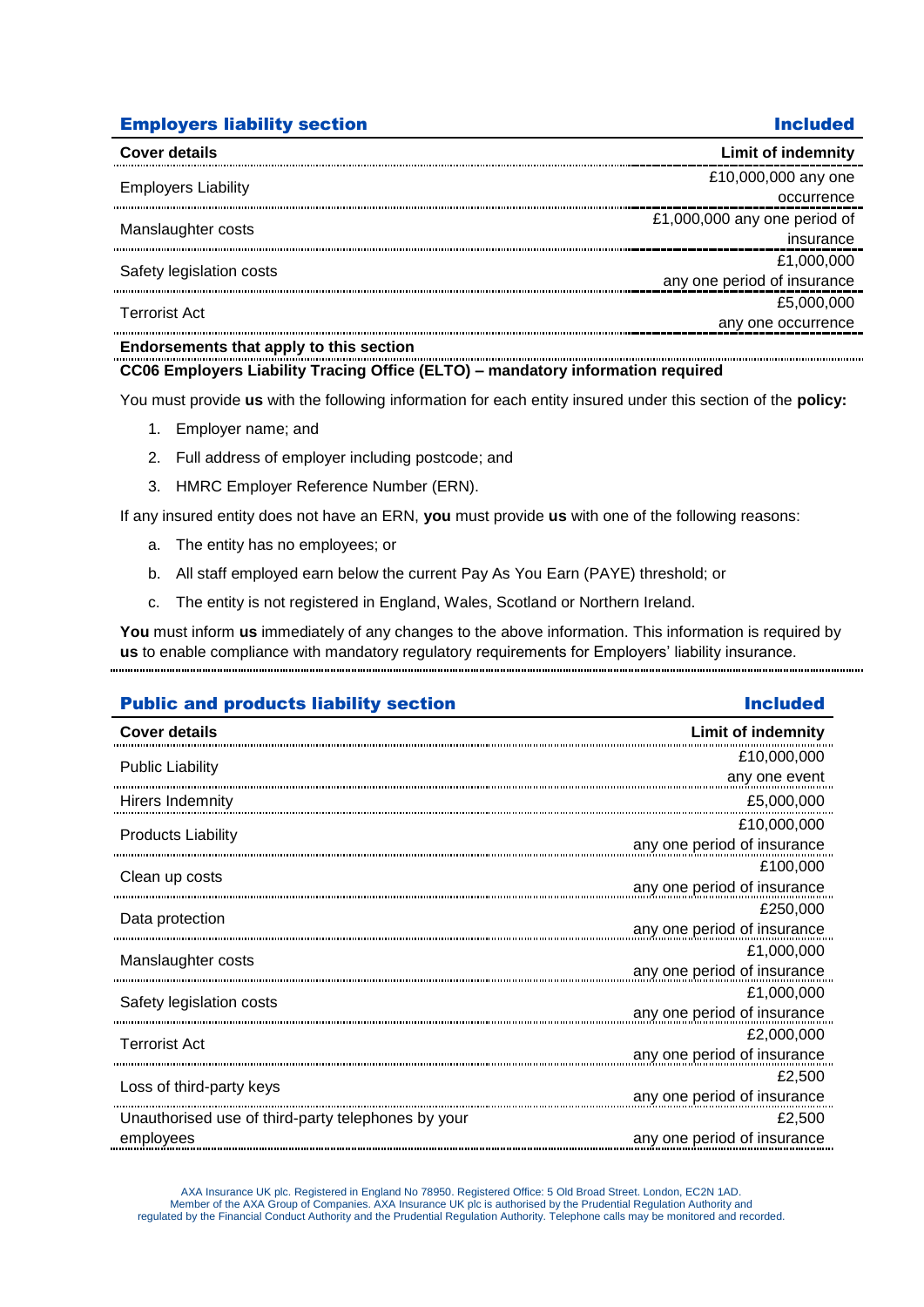## **Employers liability section Included According to According the Included Included**

| <b>Cover details</b>                                                                                            | <b>Limit of indemnity</b>    |
|-----------------------------------------------------------------------------------------------------------------|------------------------------|
| <b>Employers Liability</b>                                                                                      | £10,000,000 any one          |
|                                                                                                                 | occurrence                   |
| Manslaughter costs                                                                                              | £1,000,000 any one period of |
|                                                                                                                 | insurance                    |
| Safety legislation costs                                                                                        | £1,000,000                   |
|                                                                                                                 | any one period of insurance  |
| <b>Terrorist Act</b>                                                                                            | £5,000,000                   |
|                                                                                                                 | any one occurrence           |
| the contract of the contract of the contract of the contract of the contract of the contract of the contract of |                              |

#### **Endorsements that apply to this section**

#### **CC06 Employers Liability Tracing Office (ELTO) – mandatory information required**

You must provide **us** with the following information for each entity insured under this section of the **policy:**

- 1. Employer name; and
- 2. Full address of employer including postcode; and
- 3. HMRC Employer Reference Number (ERN).

If any insured entity does not have an ERN, **you** must provide **us** with one of the following reasons:

- a. The entity has no employees; or
- b. All staff employed earn below the current Pay As You Earn (PAYE) threshold; or
- c. The entity is not registered in England, Wales, Scotland or Northern Ireland.

**You** must inform **us** immediately of any changes to the above information. This information is required by **us** to enable compliance with mandatory regulatory requirements for Employers' liability insurance. 

### Public and products liability section **Included** Included

### **Cover details Limit of indemnity** Public Liability £10,000,000 any one event Hirers Indemnity E5,000,000 Products Liability £10,000,000 any one period of insurance Clean up costs £100,000 any one period of insurance Data protection £250,000 any one period of insurance Manslaughter costs £1,000,000 any one period of insurance and the period of insurance<br>Safety legislation costs **£1,000,000**<br>£1,000,000 any one period of insurance Terrorist Act £2,000,000 any one period of insurance Loss of third-party keys £2,500 any one period of insurance Unauthorised use of third-party telephones by your £2,500 any one period of insuranceemployees

AXA Insurance UK plc. Registered in England No 78950. Registered Office: 5 Old Broad Street. London, EC2N 1AD. Member of the AXA Group of Companies. AXA Insurance UK plc is authorised by the Prudential Regulation Authority and<br>regulated by the Financial Conduct Authority and the Prudential Regulation Authority. Telephone calls may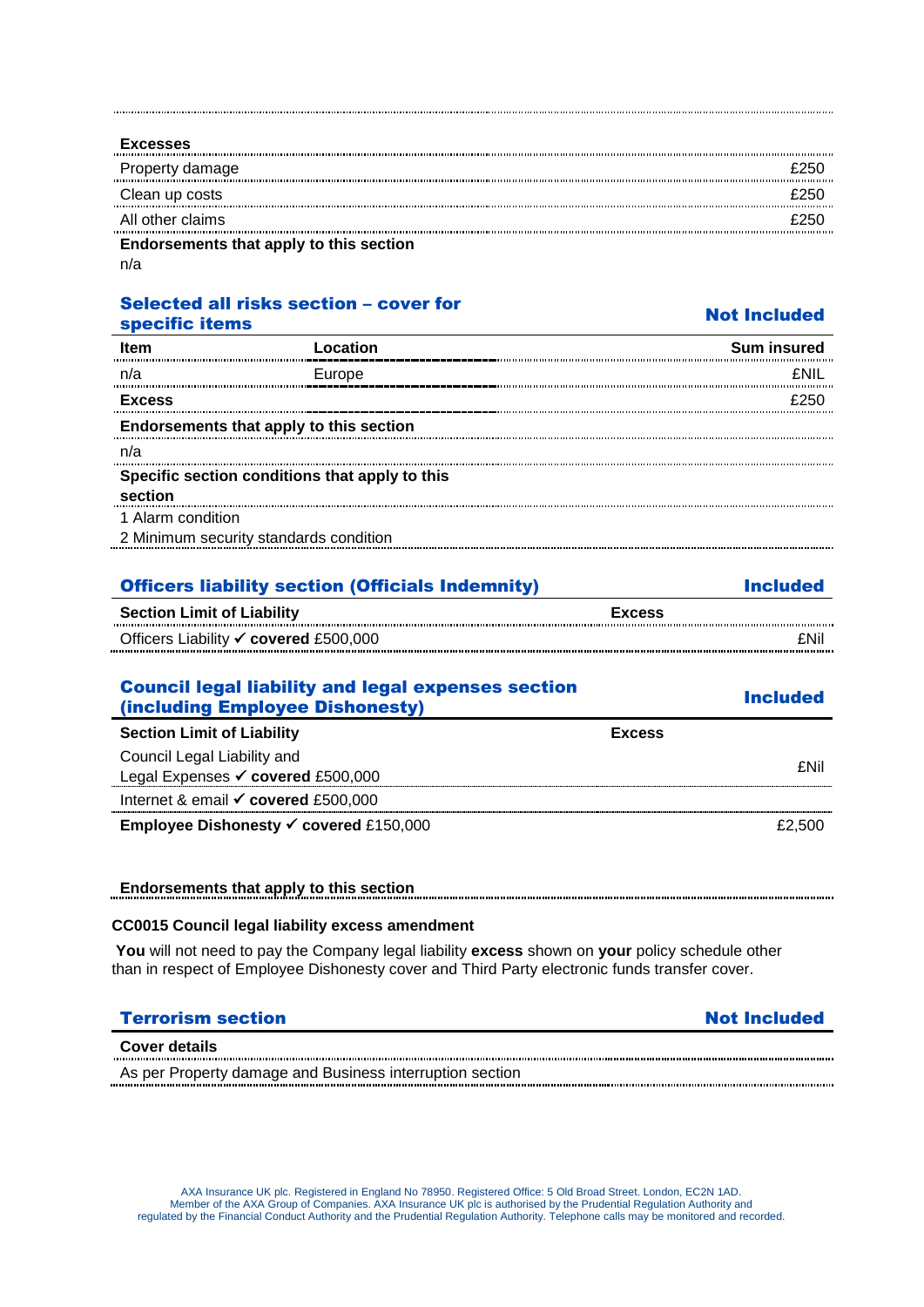| <b>Excesses</b>                         |  |
|-----------------------------------------|--|
| Property damage                         |  |
| Clean up costs                          |  |
| All other claims                        |  |
| Endorsements that apply to this section |  |
| n/a                                     |  |

# Selected all risks section – cover for

| specific items               |                                                | <b>Not Included</b> |
|------------------------------|------------------------------------------------|---------------------|
| <b>Item</b>                  | Location                                       | <b>Sum insured</b>  |
| n/a                          | Europe                                         | <b>FNII</b>         |
| <b>Excess</b>                |                                                |                     |
|                              | Endorsements that apply to this section        |                     |
| n/a                          |                                                |                     |
|                              | Specific section conditions that apply to this |                     |
| section<br>1 Alarm condition | 2 Minimum security standards condition         |                     |
|                              |                                                |                     |

| <b>Officers liability section (Officials Indemnity)</b> | <b>Included</b> |
|---------------------------------------------------------|-----------------|
| <b>Section Limit of Liability</b>                       | <b>Excess</b>   |
| Officers Liability <b>V</b> covered £500,000            | fNil            |

| <b>Council legal liability and legal expenses section</b><br>(including Employee Dishonesty) |               | <b>Included</b> |
|----------------------------------------------------------------------------------------------|---------------|-----------------|
| <b>Section Limit of Liability</b>                                                            | <b>Excess</b> |                 |
| Council Legal Liability and                                                                  |               |                 |
| Legal Expenses <del>V</del> covered £500,000                                                 |               | £Nil            |
| Internet & email $\checkmark$ covered £500,000                                               |               |                 |
| Employee Dishonesty √ covered £150,000                                                       |               | £2.500          |

# **Endorsements that apply to this section**

### **CC0015 Council legal liability excess amendment**

**You** will not need to pay the Company legal liability **excess** shown on **your** policy schedule other than in respect of Employee Dishonesty cover and Third Party electronic funds transfer cover.

# **Terrorism section Not Included**

#### **Cover details**

As per Property damage and Business interruption section